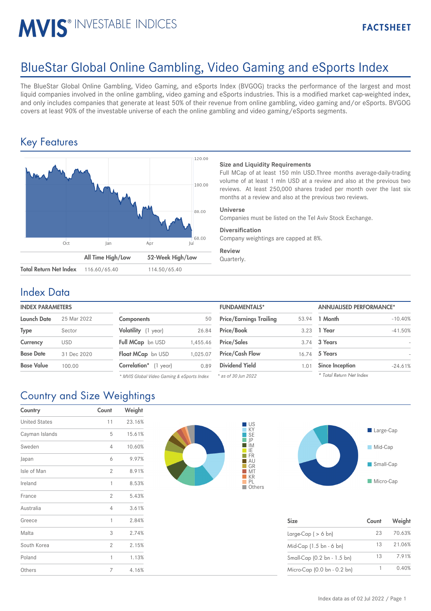# MVIS® INVESTABLE INDICES

# BlueStar Global Online Gambling, Video Gaming and eSports Index

The BlueStar Global Online Gambling, Video Gaming, and eSports Index (BVGOG) tracks the performance of the largest and most liquid companies involved in the online gambling, video gaming and eSports industries. This is a modified market cap-weighted index, and only includes companies that generate at least 50% of their revenue from online gambling, video gaming and/or eSports. BVGOG covers at least 90% of the investable universe of each the online gambling and video gaming/eSports segments.

## Key Features



### **Size and Liquidity Requirements**

Full MCap of at least 150 mln USD.Three months average-daily-trading volume of at least 1 mln USD at a review and also at the previous two reviews. At least 250,000 shares traded per month over the last six months at a review and also at the previous two reviews.

### **Universe**

Companies must be listed on the Tel Aviv Stock Exchange.

#### **Diversification**

Company weightings are capped at 8%.

**Review** Quarterly.

## Index Data

| <b>INDEX PARAMETERS</b> |                         |  |  |
|-------------------------|-------------------------|--|--|
|                         | Launch Date 25 Mar 2022 |  |  |
| <b>Type</b>             | Sector                  |  |  |
| Currency                | USD                     |  |  |

| <b>Components</b>     | 50       |
|-----------------------|----------|
| Volatility (1 year)   | 26.84    |
| Full MCap bn USD      | 1.455.46 |
| Float MCap bn USD     | 1.025.07 |
| Correlation* (1 year) | 0.89     |

*\* MVIS Global Video Gaming & eSports Index*

| <b>INDEX PARAMETERS</b> |             |                                            |          | <b>FUNDAMENTALS*</b>           |       | <b>ANNUALISED PERFORMANCE*</b> |           |
|-------------------------|-------------|--------------------------------------------|----------|--------------------------------|-------|--------------------------------|-----------|
| Launch Date             | 25 Mar 2022 | Components                                 | 50       | <b>Price/Earnings Trailing</b> | 53.94 | 1 Month                        | $-10.40%$ |
| Type                    | Sector      | Volatility (1 year)                        | 26.84    | <b>Price/Book</b>              | 3.23  | 1 Year                         | $-41.50%$ |
| Currency                | <b>USD</b>  | Full MCap bn USD                           | 1.455.46 | <b>Price/Sales</b>             |       | 3.74 3 Years                   |           |
| <b>Base Date</b>        | 31 Dec 2020 | Float MCap bn USD                          | 1.025.07 | <b>Price/Cash Flow</b>         | 16.74 | 5 Years                        |           |
| Base Value              | 100.00      | Correlation* (1 year)                      | 0.89     | <b>Dividend Yield</b>          | 1.01  | <b>Since Inception</b>         | $-24.61%$ |
|                         |             | * MVIS Global Video Gaming & eSports Index |          | * as of 30 Jun 2022            |       | * Total Return Net Index       |           |

# Country and Size Weightings

| Country              | Count          | Weight |
|----------------------|----------------|--------|
| <b>United States</b> | 11             | 23.16% |
| Cayman Islands       | 5              | 15.61% |
| Sweden               | 4              | 10.60% |
| Japan                | 6              | 9.97%  |
| Isle of Man          | $\overline{2}$ | 8.91%  |
| Ireland              | 1              | 8.53%  |
| France               | $\overline{2}$ | 5.43%  |
| Australia            | 4              | 3.61%  |
| Greece               | 1              | 2.84%  |
| Malta                | 3              | 2.74%  |
| South Korea          | $\overline{2}$ | 2.15%  |
| Poland               | 1              | 1.13%  |
| Others               | 7              | 4.16%  |





| <b>Size</b>                 | Count | Weight |
|-----------------------------|-------|--------|
| Large-Cap $( > 6$ bn)       | 23    | 70.63% |
| Mid-Cap (1.5 bn - 6 bn)     | 13    | 21.06% |
| Small-Cap (0.2 bn - 1.5 bn) | 13    | 7.91%  |
| Micro-Cap (0.0 bn - 0.2 bn) |       | 0.40%  |